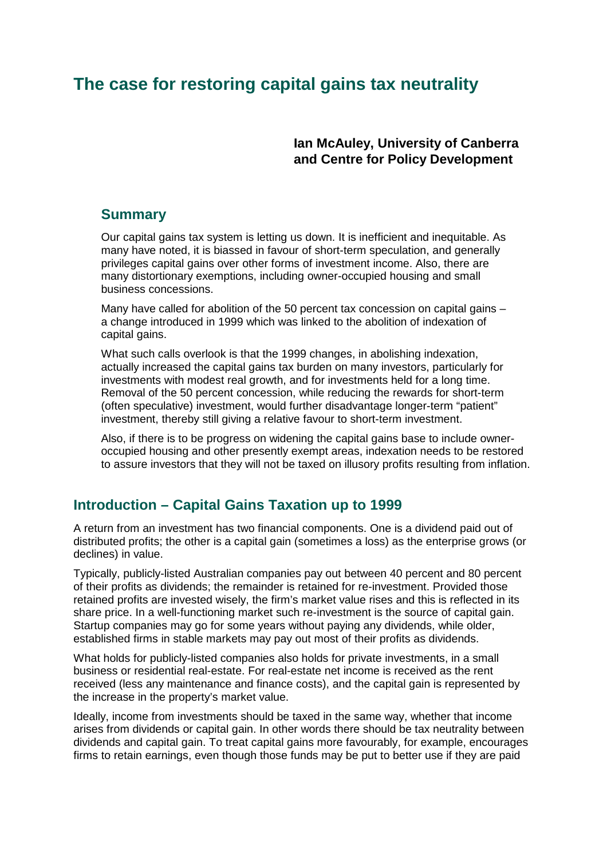# **The case for restoring capital gains tax neutrality**

**Ian McAuley, University of Canberra and Centre for Policy Development**

#### **Summary**

Our capital gains tax system is letting us down. It is inefficient and inequitable. As many have noted, it is biassed in favour of short-term speculation, and generally privileges capital gains over other forms of investment income. Also, there are many distortionary exemptions, including owner-occupied housing and small business concessions.

Many have called for abolition of the 50 percent tax concession on capital gains – a change introduced in 1999 which was linked to the abolition of indexation of capital gains.

What such calls overlook is that the 1999 changes, in abolishing indexation, actually increased the capital gains tax burden on many investors, particularly for investments with modest real growth, and for investments held for a long time. Removal of the 50 percent concession, while reducing the rewards for short-term (often speculative) investment, would further disadvantage longer-term "patient" investment, thereby still giving a relative favour to short-term investment.

Also, if there is to be progress on widening the capital gains base to include owneroccupied housing and other presently exempt areas, indexation needs to be restored to assure investors that they will not be taxed on illusory profits resulting from inflation.

### **Introduction – Capital Gains Taxation up to 1999**

A return from an investment has two financial components. One is a dividend paid out of distributed profits; the other is a capital gain (sometimes a loss) as the enterprise grows (or declines) in value.

Typically, publicly-listed Australian companies pay out between 40 percent and 80 percent of their profits as dividends; the remainder is retained for re-investment. Provided those retained profits are invested wisely, the firm's market value rises and this is reflected in its share price. In a well-functioning market such re-investment is the source of capital gain. Startup companies may go for some years without paying any dividends, while older, established firms in stable markets may pay out most of their profits as dividends.

What holds for publicly-listed companies also holds for private investments, in a small business or residential real-estate. For real-estate net income is received as the rent received (less any maintenance and finance costs), and the capital gain is represented by the increase in the property's market value.

Ideally, income from investments should be taxed in the same way, whether that income arises from dividends or capital gain. In other words there should be tax neutrality between dividends and capital gain. To treat capital gains more favourably, for example, encourages firms to retain earnings, even though those funds may be put to better use if they are paid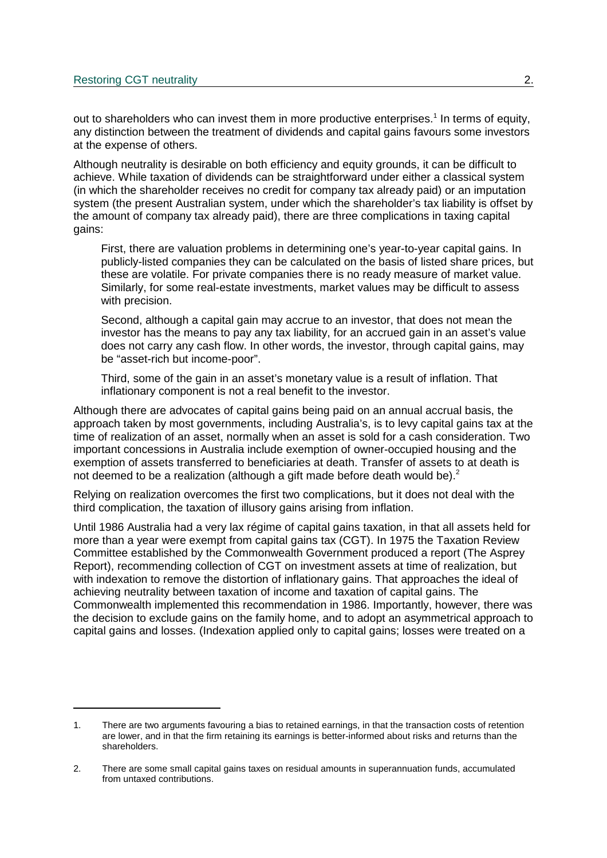out to shareholders who can invest them in more productive enterprises.<sup>1</sup> In terms of equity, any distinction between the treatment of dividends and capital gains favours some investors at the expense of others.

Although neutrality is desirable on both efficiency and equity grounds, it can be difficult to achieve. While taxation of dividends can be straightforward under either a classical system (in which the shareholder receives no credit for company tax already paid) or an imputation system (the present Australian system, under which the shareholder's tax liability is offset by the amount of company tax already paid), there are three complications in taxing capital gains:

First, there are valuation problems in determining one's year-to-year capital gains. In publicly-listed companies they can be calculated on the basis of listed share prices, but these are volatile. For private companies there is no ready measure of market value. Similarly, for some real-estate investments, market values may be difficult to assess with precision.

Second, although a capital gain may accrue to an investor, that does not mean the investor has the means to pay any tax liability, for an accrued gain in an asset's value does not carry any cash flow. In other words, the investor, through capital gains, may be "asset-rich but income-poor".

Third, some of the gain in an asset's monetary value is a result of inflation. That inflationary component is not a real benefit to the investor.

Although there are advocates of capital gains being paid on an annual accrual basis, the approach taken by most governments, including Australia's, is to levy capital gains tax at the time of realization of an asset, normally when an asset is sold for a cash consideration. Two important concessions in Australia include exemption of owner-occupied housing and the exemption of assets transferred to beneficiaries at death. Transfer of assets to at death is not deemed to be a realization (although a gift made before death would be).<sup>2</sup>

Relying on realization overcomes the first two complications, but it does not deal with the third complication, the taxation of illusory gains arising from inflation.

Until 1986 Australia had a very lax régime of capital gains taxation, in that all assets held for more than a year were exempt from capital gains tax (CGT). In 1975 the Taxation Review Committee established by the Commonwealth Government produced a report (The Asprey Report), recommending collection of CGT on investment assets at time of realization, but with indexation to remove the distortion of inflationary gains. That approaches the ideal of achieving neutrality between taxation of income and taxation of capital gains. The Commonwealth implemented this recommendation in 1986. Importantly, however, there was the decision to exclude gains on the family home, and to adopt an asymmetrical approach to capital gains and losses. (Indexation applied only to capital gains; losses were treated on a

<sup>1.</sup> There are two arguments favouring a bias to retained earnings, in that the transaction costs of retention are lower, and in that the firm retaining its earnings is better-informed about risks and returns than the shareholders.

<sup>2.</sup> There are some small capital gains taxes on residual amounts in superannuation funds, accumulated from untaxed contributions.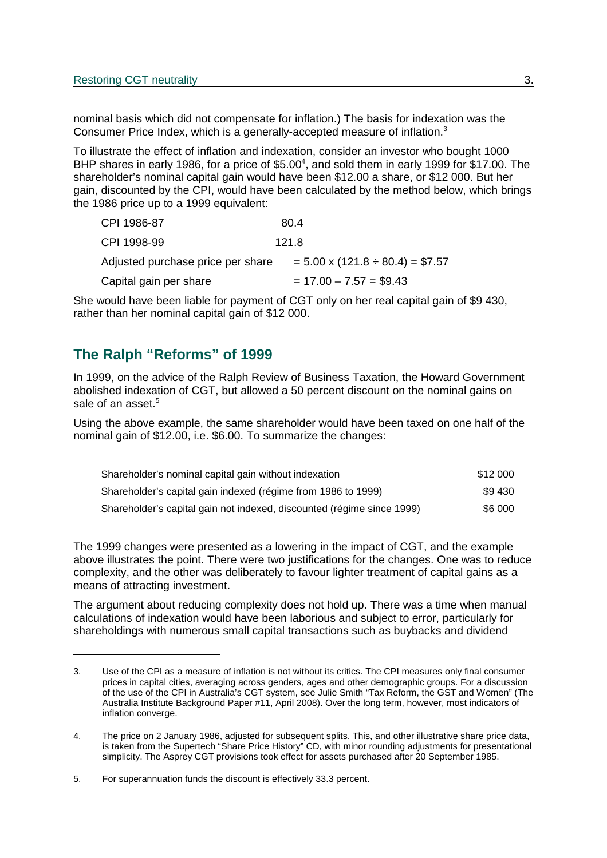nominal basis which did not compensate for inflation.) The basis for indexation was the Consumer Price Index, which is a generally-accepted measure of inflation.<sup>3</sup>

To illustrate the effect of inflation and indexation, consider an investor who bought 1000 BHP shares in early 1986, for a price of \$5.00<sup>4</sup>, and sold them in early 1999 for \$17.00. The shareholder's nominal capital gain would have been \$12.00 a share, or \$12 000. But her gain, discounted by the CPI, would have been calculated by the method below, which brings the 1986 price up to a 1999 equivalent:

| CPI 1986-87                       | 80.4                                      |
|-----------------------------------|-------------------------------------------|
| CPI 1998-99                       | 121.8                                     |
| Adjusted purchase price per share | $= 5.00 \times (121.8 \div 80.4) = $7.57$ |
| Capital gain per share            | $= 17.00 - 7.57 = $9.43$                  |

She would have been liable for payment of CGT only on her real capital gain of \$9 430, rather than her nominal capital gain of \$12 000.

### **The Ralph "Reforms" of 1999**

In 1999, on the advice of the Ralph Review of Business Taxation, the Howard Government abolished indexation of CGT, but allowed a 50 percent discount on the nominal gains on sale of an asset.<sup>5</sup>

Using the above example, the same shareholder would have been taxed on one half of the nominal gain of \$12.00, i.e. \$6.00. To summarize the changes:

| Shareholder's nominal capital gain without indexation                  | \$12 000 |
|------------------------------------------------------------------------|----------|
| Shareholder's capital gain indexed (régime from 1986 to 1999)          | \$9430   |
| Shareholder's capital gain not indexed, discounted (régime since 1999) | \$6 000  |

The 1999 changes were presented as a lowering in the impact of CGT, and the example above illustrates the point. There were two justifications for the changes. One was to reduce complexity, and the other was deliberately to favour lighter treatment of capital gains as a means of attracting investment.

The argument about reducing complexity does not hold up. There was a time when manual calculations of indexation would have been laborious and subject to error, particularly for shareholdings with numerous small capital transactions such as buybacks and dividend

<sup>3.</sup> Use of the CPI as a measure of inflation is not without its critics. The CPI measures only final consumer prices in capital cities, averaging across genders, ages and other demographic groups. For a discussion of the use of the CPI in Australia's CGT system, see Julie Smith "Tax Reform, the GST and Women" (The Australia Institute Background Paper #11, April 2008). Over the long term, however, most indicators of inflation converge.

<sup>4.</sup> The price on 2 January 1986, adjusted for subsequent splits. This, and other illustrative share price data, is taken from the Supertech "Share Price History" CD, with minor rounding adjustments for presentational simplicity. The Asprey CGT provisions took effect for assets purchased after 20 September 1985.

<sup>5.</sup> For superannuation funds the discount is effectively 33.3 percent.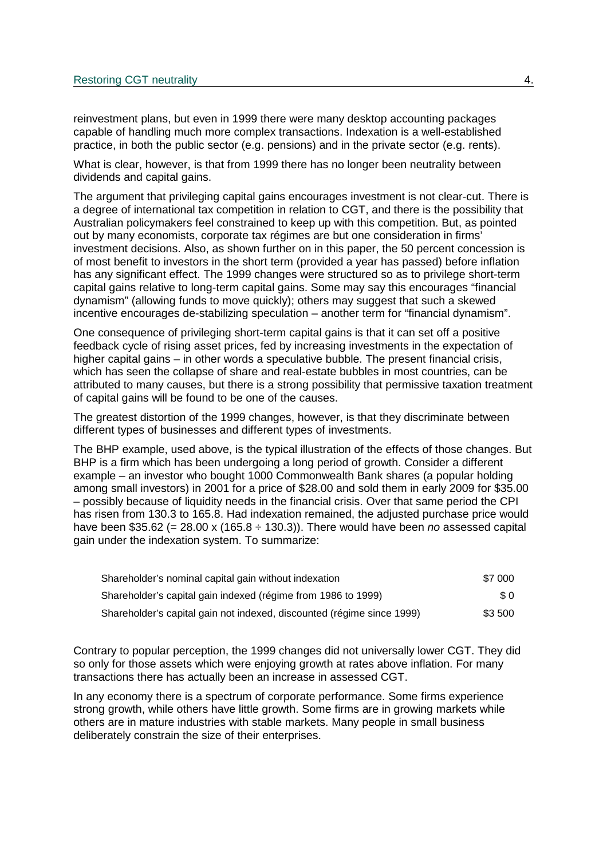reinvestment plans, but even in 1999 there were many desktop accounting packages capable of handling much more complex transactions. Indexation is a well-established practice, in both the public sector (e.g. pensions) and in the private sector (e.g. rents).

What is clear, however, is that from 1999 there has no longer been neutrality between dividends and capital gains.

The argument that privileging capital gains encourages investment is not clear-cut. There is a degree of international tax competition in relation to CGT, and there is the possibility that Australian policymakers feel constrained to keep up with this competition. But, as pointed out by many economists, corporate tax régimes are but one consideration in firms' investment decisions. Also, as shown further on in this paper, the 50 percent concession is of most benefit to investors in the short term (provided a year has passed) before inflation has any significant effect. The 1999 changes were structured so as to privilege short-term capital gains relative to long-term capital gains. Some may say this encourages "financial dynamism" (allowing funds to move quickly); others may suggest that such a skewed incentive encourages de-stabilizing speculation – another term for "financial dynamism".

One consequence of privileging short-term capital gains is that it can set off a positive feedback cycle of rising asset prices, fed by increasing investments in the expectation of higher capital gains – in other words a speculative bubble. The present financial crisis, which has seen the collapse of share and real-estate bubbles in most countries, can be attributed to many causes, but there is a strong possibility that permissive taxation treatment of capital gains will be found to be one of the causes.

The greatest distortion of the 1999 changes, however, is that they discriminate between different types of businesses and different types of investments.

The BHP example, used above, is the typical illustration of the effects of those changes. But BHP is a firm which has been undergoing a long period of growth. Consider a different example – an investor who bought 1000 Commonwealth Bank shares (a popular holding among small investors) in 2001 for a price of \$28.00 and sold them in early 2009 for \$35.00 – possibly because of liquidity needs in the financial crisis. Over that same period the CPI has risen from 130.3 to 165.8. Had indexation remained, the adjusted purchase price would have been \$35.62 (= 28.00 x (165.8  $\div$  130.3)). There would have been no assessed capital gain under the indexation system. To summarize:

| Shareholder's nominal capital gain without indexation                  | \$7 000 |
|------------------------------------------------------------------------|---------|
| Shareholder's capital gain indexed (régime from 1986 to 1999)          | SO.     |
| Shareholder's capital gain not indexed, discounted (régime since 1999) | \$3 500 |

Contrary to popular perception, the 1999 changes did not universally lower CGT. They did so only for those assets which were enjoying growth at rates above inflation. For many transactions there has actually been an increase in assessed CGT.

In any economy there is a spectrum of corporate performance. Some firms experience strong growth, while others have little growth. Some firms are in growing markets while others are in mature industries with stable markets. Many people in small business deliberately constrain the size of their enterprises.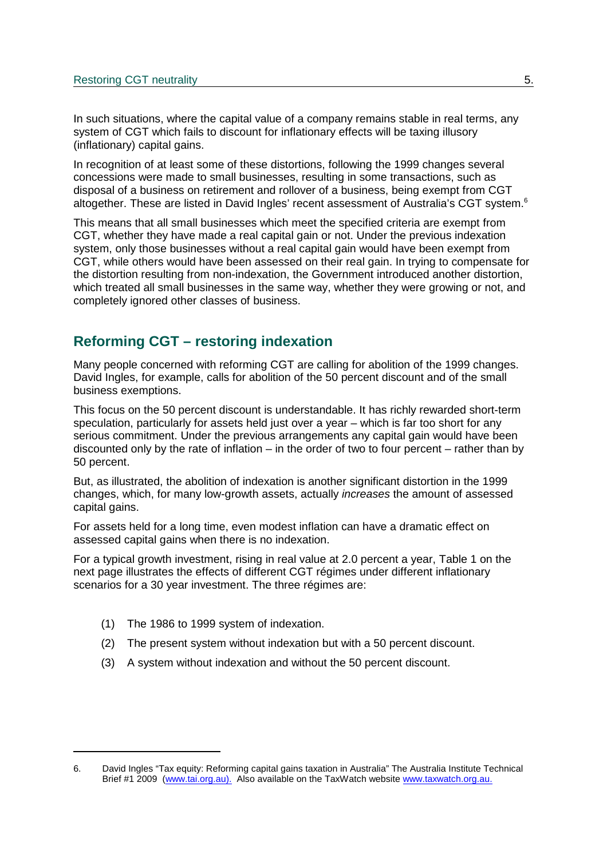In such situations, where the capital value of a company remains stable in real terms, any system of CGT which fails to discount for inflationary effects will be taxing illusory (inflationary) capital gains.

In recognition of at least some of these distortions, following the 1999 changes several concessions were made to small businesses, resulting in some transactions, such as disposal of a business on retirement and rollover of a business, being exempt from CGT altogether. These are listed in David Ingles' recent assessment of Australia's CGT system.<sup>6</sup>

This means that all small businesses which meet the specified criteria are exempt from CGT, whether they have made a real capital gain or not. Under the previous indexation system, only those businesses without a real capital gain would have been exempt from CGT, while others would have been assessed on their real gain. In trying to compensate for the distortion resulting from non-indexation, the Government introduced another distortion, which treated all small businesses in the same way, whether they were growing or not, and completely ignored other classes of business.

## **Reforming CGT – restoring indexation**

Many people concerned with reforming CGT are calling for abolition of the 1999 changes. David Ingles, for example, calls for abolition of the 50 percent discount and of the small business exemptions.

This focus on the 50 percent discount is understandable. It has richly rewarded short-term speculation, particularly for assets held just over a year – which is far too short for any serious commitment. Under the previous arrangements any capital gain would have been discounted only by the rate of inflation – in the order of two to four percent – rather than by 50 percent.

But, as illustrated, the abolition of indexation is another significant distortion in the 1999 changes, which, for many low-growth assets, actually increases the amount of assessed capital gains.

For assets held for a long time, even modest inflation can have a dramatic effect on assessed capital gains when there is no indexation.

For a typical growth investment, rising in real value at 2.0 percent a year, Table 1 on the next page illustrates the effects of different CGT régimes under different inflationary scenarios for a 30 year investment. The three régimes are:

- (1) The 1986 to 1999 system of indexation.
- (2) The present system without indexation but with a 50 percent discount.
- (3) A system without indexation and without the 50 percent discount.

<sup>6.</sup> David Ingles "Tax equity: Reforming capital gains taxation in Australia" The Australia Institute Technical Brief #1 2009 (www.tai.org.au). Also available on the TaxWatch website www.taxwatch.org.au.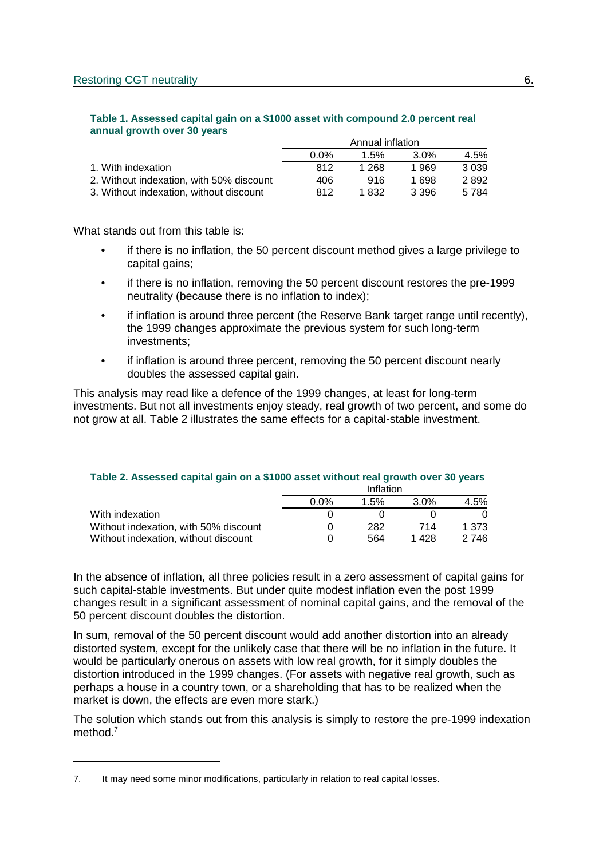#### **Table 1. Assessed capital gain on a \$1000 asset with compound 2.0 percent real annual growth over 30 years**

|                                          | Annual inflation |       |         |         |
|------------------------------------------|------------------|-------|---------|---------|
|                                          | $0.0\%$          | 1.5%  | $3.0\%$ | 4.5%    |
| 1. With indexation                       | 812              | 1 268 | 1.969   | 3 0 3 9 |
| 2. Without indexation, with 50% discount | 406              | 916   | 1 698   | 2892    |
| 3. Without indexation, without discount  | 812              | 1 832 | 3.396   | 5 7 8 4 |

What stands out from this table is:

- if there is no inflation, the 50 percent discount method gives a large privilege to capital gains;
- if there is no inflation, removing the 50 percent discount restores the pre-1999 neutrality (because there is no inflation to index);
- if inflation is around three percent (the Reserve Bank target range until recently), the 1999 changes approximate the previous system for such long-term investments;
- if inflation is around three percent, removing the 50 percent discount nearly doubles the assessed capital gain.

This analysis may read like a defence of the 1999 changes, at least for long-term investments. But not all investments enjoy steady, real growth of two percent, and some do not grow at all. Table 2 illustrates the same effects for a capital-stable investment.

#### **Table 2. Assessed capital gain on a \$1000 asset without real growth over 30 years**

|                                       | Inflation   |      |         |       |
|---------------------------------------|-------------|------|---------|-------|
|                                       | <u>በ በ%</u> | 1.5% | $3.0\%$ | 4.5%  |
| With indexation                       |             |      |         |       |
| Without indexation, with 50% discount |             | 282  | 714     | 1.373 |
| Without indexation, without discount  |             | 564  | 1 428   | 2 746 |

In the absence of inflation, all three policies result in a zero assessment of capital gains for such capital-stable investments. But under quite modest inflation even the post 1999 changes result in a significant assessment of nominal capital gains, and the removal of the 50 percent discount doubles the distortion.

In sum, removal of the 50 percent discount would add another distortion into an already distorted system, except for the unlikely case that there will be no inflation in the future. It would be particularly onerous on assets with low real growth, for it simply doubles the distortion introduced in the 1999 changes. (For assets with negative real growth, such as perhaps a house in a country town, or a shareholding that has to be realized when the market is down, the effects are even more stark.)

The solution which stands out from this analysis is simply to restore the pre-1999 indexation method.<sup>7</sup>

<sup>7.</sup> It may need some minor modifications, particularly in relation to real capital losses.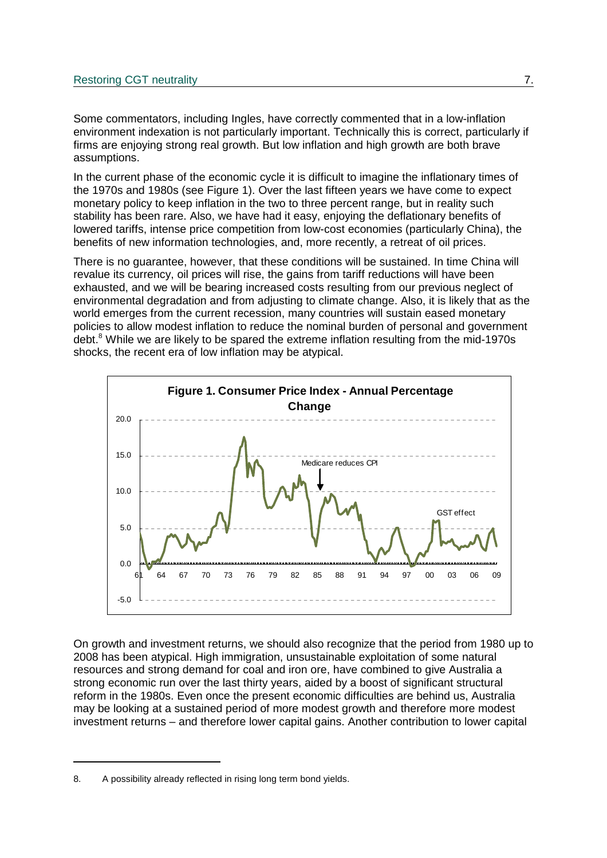Some commentators, including Ingles, have correctly commented that in a low-inflation environment indexation is not particularly important. Technically this is correct, particularly if firms are enjoying strong real growth. But low inflation and high growth are both brave assumptions.

In the current phase of the economic cycle it is difficult to imagine the inflationary times of the 1970s and 1980s (see Figure 1). Over the last fifteen years we have come to expect monetary policy to keep inflation in the two to three percent range, but in reality such stability has been rare. Also, we have had it easy, enjoying the deflationary benefits of lowered tariffs, intense price competition from low-cost economies (particularly China), the benefits of new information technologies, and, more recently, a retreat of oil prices.

There is no guarantee, however, that these conditions will be sustained. In time China will revalue its currency, oil prices will rise, the gains from tariff reductions will have been exhausted, and we will be bearing increased costs resulting from our previous neglect of environmental degradation and from adjusting to climate change. Also, it is likely that as the world emerges from the current recession, many countries will sustain eased monetary policies to allow modest inflation to reduce the nominal burden of personal and government debt.<sup>8</sup> While we are likely to be spared the extreme inflation resulting from the mid-1970s shocks, the recent era of low inflation may be atypical.



On growth and investment returns, we should also recognize that the period from 1980 up to 2008 has been atypical. High immigration, unsustainable exploitation of some natural resources and strong demand for coal and iron ore, have combined to give Australia a strong economic run over the last thirty years, aided by a boost of significant structural reform in the 1980s. Even once the present economic difficulties are behind us, Australia may be looking at a sustained period of more modest growth and therefore more modest investment returns – and therefore lower capital gains. Another contribution to lower capital

<sup>8.</sup> A possibility already reflected in rising long term bond yields.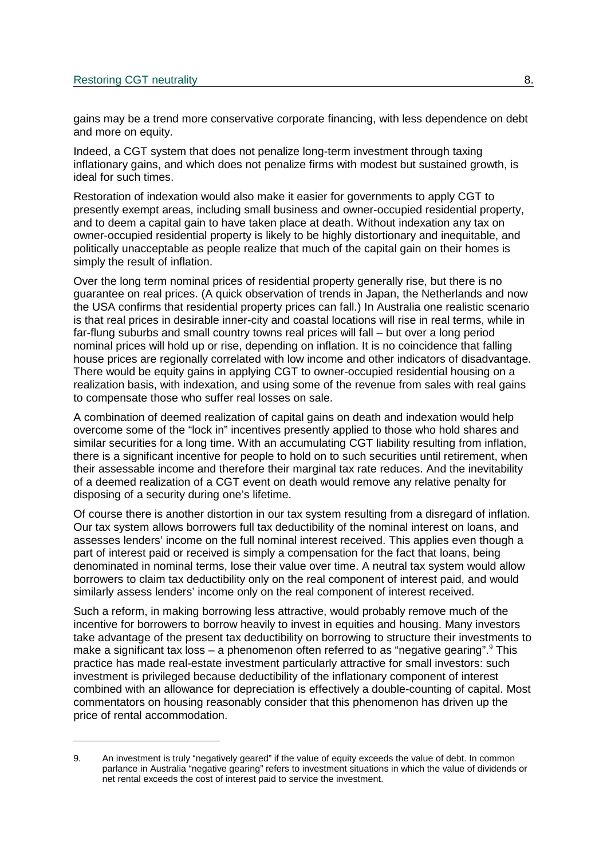gains may be a trend more conservative corporate financing, with less dependence on debt and more on equity.

Indeed, a CGT system that does not penalize long-term investment through taxing inflationary gains, and which does not penalize firms with modest but sustained growth, is ideal for such times.

Restoration of indexation would also make it easier for governments to apply CGT to presently exempt areas, including small business and owner-occupied residential property, and to deem a capital gain to have taken place at death. Without indexation any tax on owner-occupied residential property is likely to be highly distortionary and inequitable, and politically unacceptable as people realize that much of the capital gain on their homes is simply the result of inflation.

Over the long term nominal prices of residential property generally rise, but there is no guarantee on real prices. (A quick observation of trends in Japan, the Netherlands and now the USA confirms that residential property prices can fall.) In Australia one realistic scenario is that real prices in desirable inner-city and coastal locations will rise in real terms, while in far-flung suburbs and small country towns real prices will fall – but over a long period nominal prices will hold up or rise, depending on inflation. It is no coincidence that falling house prices are regionally correlated with low income and other indicators of disadvantage. There would be equity gains in applying CGT to owner-occupied residential housing on a realization basis, with indexation, and using some of the revenue from sales with real gains to compensate those who suffer real losses on sale.

A combination of deemed realization of capital gains on death and indexation would help overcome some of the "lock in" incentives presently applied to those who hold shares and similar securities for a long time. With an accumulating CGT liability resulting from inflation, there is a significant incentive for people to hold on to such securities until retirement, when their assessable income and therefore their marginal tax rate reduces. And the inevitability of a deemed realization of a CGT event on death would remove any relative penalty for disposing of a security during one's lifetime.

Of course there is another distortion in our tax system resulting from a disregard of inflation. Our tax system allows borrowers full tax deductibility of the nominal interest on loans, and assesses lenders' income on the full nominal interest received. This applies even though a part of interest paid or received is simply a compensation for the fact that loans, being denominated in nominal terms, lose their value over time. A neutral tax system would allow borrowers to claim tax deductibility only on the real component of interest paid, and would similarly assess lenders' income only on the real component of interest received.

Such a reform, in making borrowing less attractive, would probably remove much of the incentive for borrowers to borrow heavily to invest in equities and housing. Many investors take advantage of the present tax deductibility on borrowing to structure their investments to make a significant tax loss – a phenomenon often referred to as "negative gearing".<sup>9</sup> This practice has made real-estate investment particularly attractive for small investors: such investment is privileged because deductibility of the inflationary component of interest combined with an allowance for depreciation is effectively a double-counting of capital. Most commentators on housing reasonably consider that this phenomenon has driven up the price of rental accommodation.

<sup>9.</sup> An investment is truly "negatively geared" if the value of equity exceeds the value of debt. In common parlance in Australia "negative gearing" refers to investment situations in which the value of dividends or net rental exceeds the cost of interest paid to service the investment.